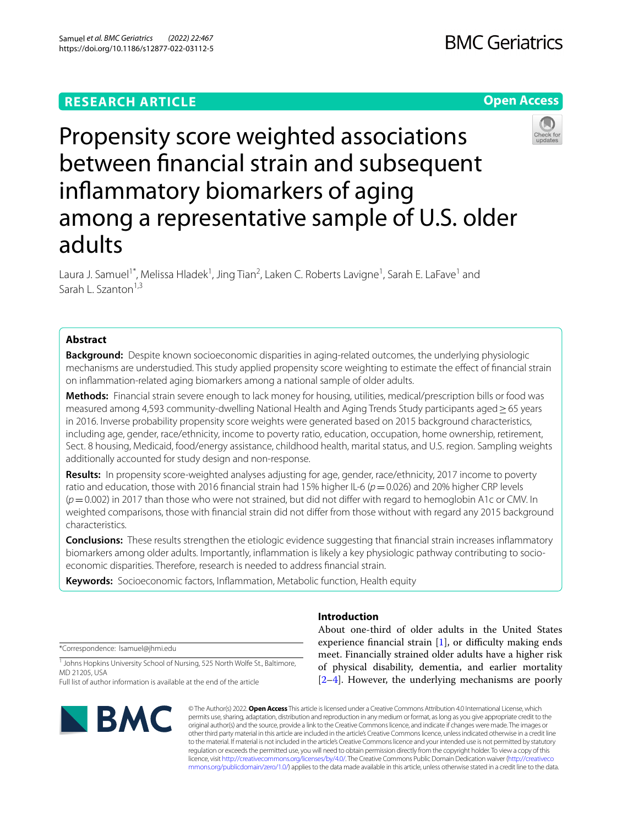Samuel *et al. BMC Geriatrics (2022) 22:467* 

## **RESEARCH ARTICLE**

## **BMC Geriatrics**

## **Open Access**



# Propensity score weighted associations between fnancial strain and subsequent infammatory biomarkers of aging among a representative sample of U.S. older adults

Laura J. Samuel<sup>1\*</sup>, Melissa Hladek<sup>1</sup>, Jing Tian<sup>2</sup>, Laken C. Roberts Lavigne<sup>1</sup>, Sarah E. LaFave<sup>1</sup> and Sarah L. Szanton<sup>1,3</sup>

## **Abstract**

**Background:** Despite known socioeconomic disparities in aging-related outcomes, the underlying physiologic mechanisms are understudied. This study applied propensity score weighting to estimate the efect of fnancial strain on infammation-related aging biomarkers among a national sample of older adults.

**Methods:** Financial strain severe enough to lack money for housing, utilities, medical/prescription bills or food was measured among 4,593 community-dwelling National Health and Aging Trends Study participants aged ≥ 65 years in 2016. Inverse probability propensity score weights were generated based on 2015 background characteristics, including age, gender, race/ethnicity, income to poverty ratio, education, occupation, home ownership, retirement, Sect. 8 housing, Medicaid, food/energy assistance, childhood health, marital status, and U.S. region. Sampling weights additionally accounted for study design and non-response.

**Results:** In propensity score-weighted analyses adjusting for age, gender, race/ethnicity, 2017 income to poverty ratio and education, those with 2016 financial strain had 15% higher IL-6 ( $p=0.026$ ) and 20% higher CRP levels (*p*=0.002) in 2017 than those who were not strained, but did not difer with regard to hemoglobin A1c or CMV. In weighted comparisons, those with fnancial strain did not difer from those without with regard any 2015 background characteristics.

**Conclusions:** These results strengthen the etiologic evidence suggesting that fnancial strain increases infammatory biomarkers among older adults. Importantly, infammation is likely a key physiologic pathway contributing to socioeconomic disparities. Therefore, research is needed to address fnancial strain.

**Keywords:** Socioeconomic factors, Infammation, Metabolic function, Health equity

\*Correspondence: lsamuel@jhmi.edu

<sup>1</sup> Johns Hopkins University School of Nursing, 525 North Wolfe St., Baltimore, MD 21205, USA

Full list of author information is available at the end of the article



## **Introduction**

About one-third of older adults in the United States experience financial strain  $[1]$  $[1]$ , or difficulty making ends meet. Financially strained older adults have a higher risk of physical disability, dementia, and earlier mortality [[2–](#page-9-1)[4\]](#page-9-2). However, the underlying mechanisms are poorly

© The Author(s) 2022. **Open Access** This article is licensed under a Creative Commons Attribution 4.0 International License, which permits use, sharing, adaptation, distribution and reproduction in any medium or format, as long as you give appropriate credit to the original author(s) and the source, provide a link to the Creative Commons licence, and indicate if changes were made. The images or other third party material in this article are included in the article's Creative Commons licence, unless indicated otherwise in a credit line to the material. If material is not included in the article's Creative Commons licence and your intended use is not permitted by statutory regulation or exceeds the permitted use, you will need to obtain permission directly from the copyright holder. To view a copy of this licence, visit [http://creativecommons.org/licenses/by/4.0/.](http://creativecommons.org/licenses/by/4.0/) The Creative Commons Public Domain Dedication waiver ([http://creativeco](http://creativecommons.org/publicdomain/zero/1.0/) [mmons.org/publicdomain/zero/1.0/](http://creativecommons.org/publicdomain/zero/1.0/)) applies to the data made available in this article, unless otherwise stated in a credit line to the data.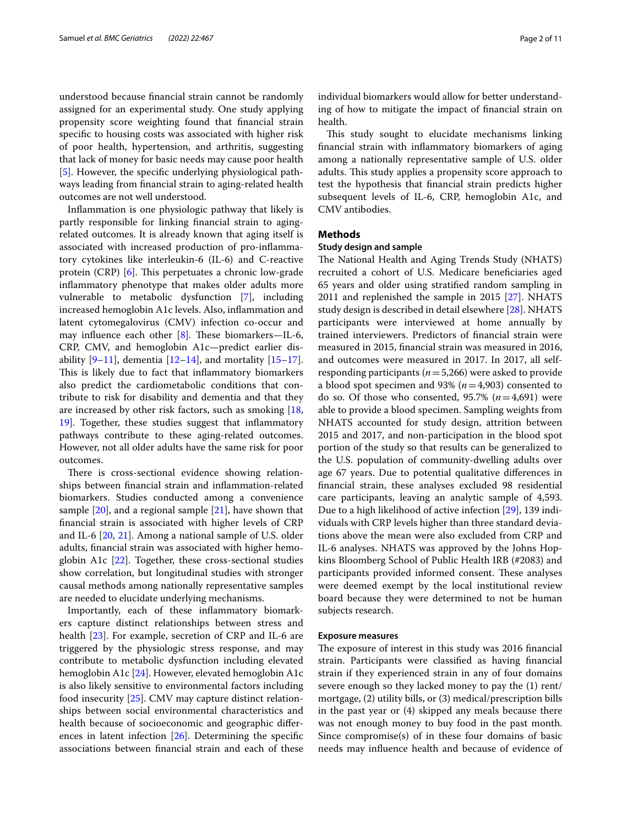understood because fnancial strain cannot be randomly assigned for an experimental study. One study applying propensity score weighting found that fnancial strain specifc to housing costs was associated with higher risk of poor health, hypertension, and arthritis, suggesting that lack of money for basic needs may cause poor health [[5\]](#page-9-3). However, the specifc underlying physiological pathways leading from fnancial strain to aging-related health outcomes are not well understood.

Infammation is one physiologic pathway that likely is partly responsible for linking fnancial strain to agingrelated outcomes. It is already known that aging itself is associated with increased production of pro-infammatory cytokines like interleukin-6 (IL-6) and C-reactive protein (CRP) [\[6](#page-9-4)]. This perpetuates a chronic low-grade infammatory phenotype that makes older adults more vulnerable to metabolic dysfunction [\[7](#page-9-5)], including increased hemoglobin A1c levels. Also, infammation and latent cytomegalovirus (CMV) infection co-occur and may influence each other  $[8]$  $[8]$ . These biomarkers—IL-6, CRP, CMV, and hemoglobin A1c—predict earlier disability  $[9-11]$  $[9-11]$ , dementia  $[12-14]$  $[12-14]$ , and mortality  $[15-17]$  $[15-17]$  $[15-17]$ . This is likely due to fact that inflammatory biomarkers also predict the cardiometabolic conditions that contribute to risk for disability and dementia and that they are increased by other risk factors, such as smoking [\[18](#page-9-13), [19\]](#page-9-14). Together, these studies suggest that infammatory pathways contribute to these aging-related outcomes. However, not all older adults have the same risk for poor outcomes.

There is cross-sectional evidence showing relationships between fnancial strain and infammation-related biomarkers. Studies conducted among a convenience sample  $[20]$  $[20]$ , and a regional sample  $[21]$  $[21]$ , have shown that fnancial strain is associated with higher levels of CRP and IL-6 [\[20,](#page-9-15) [21\]](#page-9-16). Among a national sample of U.S. older adults, fnancial strain was associated with higher hemoglobin A1c [[22\]](#page-9-17). Together, these cross-sectional studies show correlation, but longitudinal studies with stronger causal methods among nationally representative samples are needed to elucidate underlying mechanisms.

Importantly, each of these infammatory biomarkers capture distinct relationships between stress and health [[23\]](#page-9-18). For example, secretion of CRP and IL-6 are triggered by the physiologic stress response, and may contribute to metabolic dysfunction including elevated hemoglobin A1c [\[24](#page-9-19)]. However, elevated hemoglobin A1c is also likely sensitive to environmental factors including food insecurity [[25\]](#page-9-20). CMV may capture distinct relationships between social environmental characteristics and health because of socioeconomic and geographic diferences in latent infection [[26\]](#page-9-21). Determining the specifc associations between fnancial strain and each of these individual biomarkers would allow for better understanding of how to mitigate the impact of fnancial strain on health.

This study sought to elucidate mechanisms linking fnancial strain with infammatory biomarkers of aging among a nationally representative sample of U.S. older adults. This study applies a propensity score approach to test the hypothesis that fnancial strain predicts higher subsequent levels of IL-6, CRP, hemoglobin A1c, and CMV antibodies.

## **Methods**

## **Study design and sample**

The National Health and Aging Trends Study (NHATS) recruited a cohort of U.S. Medicare benefciaries aged 65 years and older using stratifed random sampling in 2011 and replenished the sample in 2015 [\[27](#page-9-22)]. NHATS study design is described in detail elsewhere [\[28](#page-10-0)]. NHATS participants were interviewed at home annually by trained interviewers. Predictors of fnancial strain were measured in 2015, fnancial strain was measured in 2016, and outcomes were measured in 2017. In 2017, all selfresponding participants (*n*=5,266) were asked to provide a blood spot specimen and 93% (*n*=4,903) consented to do so. Of those who consented, 95.7% (*n*=4,691) were able to provide a blood specimen. Sampling weights from NHATS accounted for study design, attrition between 2015 and 2017, and non-participation in the blood spot portion of the study so that results can be generalized to the U.S. population of community-dwelling adults over age 67 years. Due to potential qualitative diferences in fnancial strain, these analyses excluded 98 residential care participants, leaving an analytic sample of 4,593. Due to a high likelihood of active infection [\[29](#page-10-1)], 139 individuals with CRP levels higher than three standard deviations above the mean were also excluded from CRP and IL-6 analyses. NHATS was approved by the Johns Hopkins Bloomberg School of Public Health IRB (#2083) and participants provided informed consent. These analyses were deemed exempt by the local institutional review board because they were determined to not be human subjects research.

## **Exposure measures**

The exposure of interest in this study was 2016 financial strain. Participants were classifed as having fnancial strain if they experienced strain in any of four domains severe enough so they lacked money to pay the (1) rent/ mortgage, (2) utility bills, or (3) medical/prescription bills in the past year or (4) skipped any meals because there was not enough money to buy food in the past month. Since compromise(s) of in these four domains of basic needs may infuence health and because of evidence of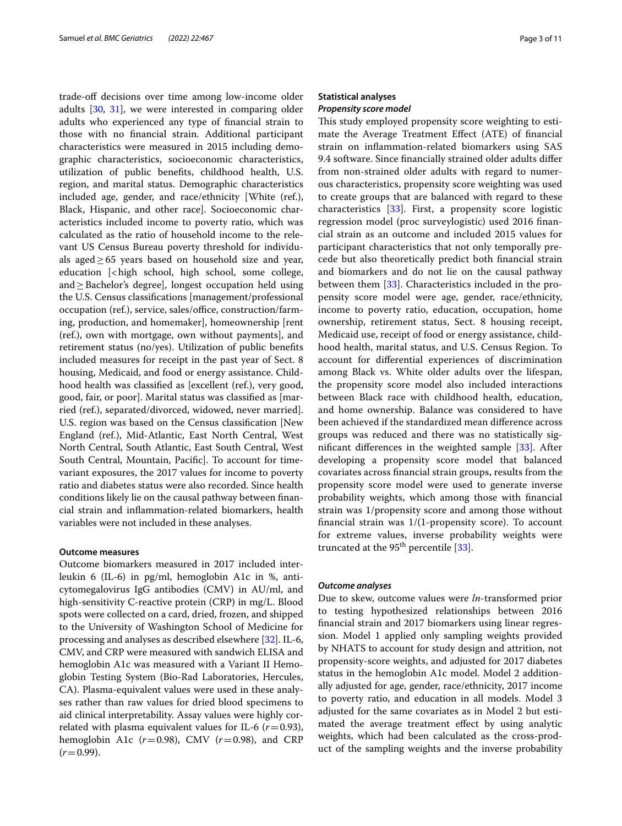trade-of decisions over time among low-income older adults [[30,](#page-10-2) [31\]](#page-10-3), we were interested in comparing older adults who experienced any type of fnancial strain to those with no fnancial strain. Additional participant characteristics were measured in 2015 including demographic characteristics, socioeconomic characteristics, utilization of public benefts, childhood health, U.S. region, and marital status. Demographic characteristics included age, gender, and race/ethnicity [White (ref.), Black, Hispanic, and other race]. Socioeconomic characteristics included income to poverty ratio, which was calculated as the ratio of household income to the relevant US Census Bureau poverty threshold for individuals aged $\geq 65$  years based on household size and year, education [<high school, high school, some college, and $\geq$ Bachelor's degree], longest occupation held using the U.S. Census classifcations [management/professional occupation (ref.), service, sales/office, construction/farming, production, and homemaker], homeownership [rent (ref.), own with mortgage, own without payments], and retirement status (no/yes). Utilization of public benefts included measures for receipt in the past year of Sect. 8 housing, Medicaid, and food or energy assistance. Childhood health was classifed as [excellent (ref.), very good, good, fair, or poor]. Marital status was classifed as [married (ref.), separated/divorced, widowed, never married]. U.S. region was based on the Census classifcation [New England (ref.), Mid-Atlantic, East North Central, West North Central, South Atlantic, East South Central, West South Central, Mountain, Pacifc]. To account for timevariant exposures, the 2017 values for income to poverty ratio and diabetes status were also recorded. Since health conditions likely lie on the causal pathway between fnancial strain and infammation-related biomarkers, health variables were not included in these analyses.

## **Outcome measures**

Outcome biomarkers measured in 2017 included interleukin 6 (IL-6) in pg/ml, hemoglobin A1c in %, anticytomegalovirus IgG antibodies (CMV) in AU/ml, and high-sensitivity C-reactive protein (CRP) in mg/L. Blood spots were collected on a card, dried, frozen, and shipped to the University of Washington School of Medicine for processing and analyses as described elsewhere [[32](#page-10-4)]. IL-6, CMV, and CRP were measured with sandwich ELISA and hemoglobin A1c was measured with a Variant II Hemoglobin Testing System (Bio-Rad Laboratories, Hercules, CA). Plasma-equivalent values were used in these analyses rather than raw values for dried blood specimens to aid clinical interpretability. Assay values were highly correlated with plasma equivalent values for IL-6  $(r=0.93)$ , hemoglobin A1c  $(r=0.98)$ , CMV  $(r=0.98)$ , and CRP  $(r=0.99)$ .

## **Statistical analyses** *Propensity score model*

This study employed propensity score weighting to estimate the Average Treatment Efect (ATE) of fnancial strain on infammation-related biomarkers using SAS 9.4 software. Since fnancially strained older adults difer from non-strained older adults with regard to numerous characteristics, propensity score weighting was used to create groups that are balanced with regard to these characteristics [[33](#page-10-5)]. First, a propensity score logistic regression model (proc surveylogistic) used 2016 fnancial strain as an outcome and included 2015 values for participant characteristics that not only temporally precede but also theoretically predict both fnancial strain and biomarkers and do not lie on the causal pathway between them [\[33](#page-10-5)]. Characteristics included in the propensity score model were age, gender, race/ethnicity, income to poverty ratio, education, occupation, home ownership, retirement status, Sect. 8 housing receipt, Medicaid use, receipt of food or energy assistance, childhood health, marital status, and U.S. Census Region. To account for diferential experiences of discrimination among Black vs. White older adults over the lifespan, the propensity score model also included interactions between Black race with childhood health, education, and home ownership. Balance was considered to have been achieved if the standardized mean diference across groups was reduced and there was no statistically signifcant diferences in the weighted sample [\[33](#page-10-5)]. After developing a propensity score model that balanced covariates across fnancial strain groups, results from the propensity score model were used to generate inverse probability weights, which among those with fnancial strain was 1/propensity score and among those without fnancial strain was 1/(1-propensity score). To account for extreme values, inverse probability weights were truncated at the  $95<sup>th</sup>$  percentile [\[33\]](#page-10-5).

## *Outcome analyses*

Due to skew, outcome values were *ln*-transformed prior to testing hypothesized relationships between 2016 fnancial strain and 2017 biomarkers using linear regression. Model 1 applied only sampling weights provided by NHATS to account for study design and attrition, not propensity-score weights, and adjusted for 2017 diabetes status in the hemoglobin A1c model. Model 2 additionally adjusted for age, gender, race/ethnicity, 2017 income to poverty ratio, and education in all models. Model 3 adjusted for the same covariates as in Model 2 but estimated the average treatment efect by using analytic weights, which had been calculated as the cross-product of the sampling weights and the inverse probability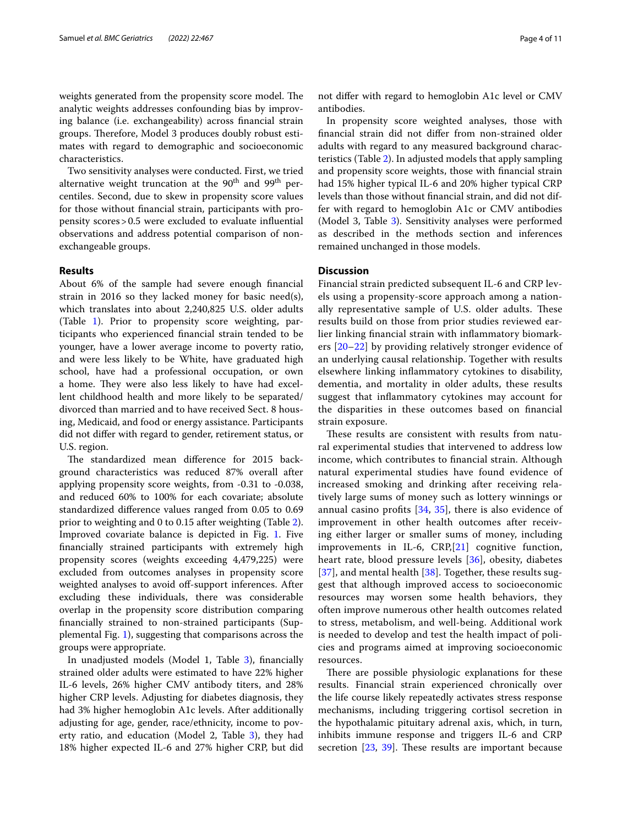weights generated from the propensity score model. The analytic weights addresses confounding bias by improving balance (i.e. exchangeability) across fnancial strain groups. Therefore, Model 3 produces doubly robust estimates with regard to demographic and socioeconomic characteristics.

Two sensitivity analyses were conducted. First, we tried alternative weight truncation at the  $90<sup>th</sup>$  and  $99<sup>th</sup>$  percentiles. Second, due to skew in propensity score values for those without fnancial strain, participants with propensity scores>0.5 were excluded to evaluate infuential observations and address potential comparison of nonexchangeable groups.

## **Results**

About 6% of the sample had severe enough fnancial strain in 2016 so they lacked money for basic need(s), which translates into about 2,240,825 U.S. older adults (Table [1](#page-4-0)). Prior to propensity score weighting, participants who experienced fnancial strain tended to be younger, have a lower average income to poverty ratio, and were less likely to be White, have graduated high school, have had a professional occupation, or own a home. They were also less likely to have had excellent childhood health and more likely to be separated/ divorced than married and to have received Sect. 8 housing, Medicaid, and food or energy assistance. Participants did not difer with regard to gender, retirement status, or U.S. region.

The standardized mean difference for 2015 background characteristics was reduced 87% overall after applying propensity score weights, from -0.31 to -0.038, and reduced 60% to 100% for each covariate; absolute standardized diference values ranged from 0.05 to 0.69 prior to weighting and 0 to 0.15 after weighting (Table [2](#page-6-0)). Improved covariate balance is depicted in Fig. [1](#page-8-0). Five fnancially strained participants with extremely high propensity scores (weights exceeding 4,479,225) were excluded from outcomes analyses in propensity score weighted analyses to avoid off-support inferences. After excluding these individuals, there was considerable overlap in the propensity score distribution comparing fnancially strained to non-strained participants (Supplemental Fig. [1](#page-8-1)), suggesting that comparisons across the groups were appropriate.

In unadjusted models (Model 1, Table [3\)](#page-8-2), fnancially strained older adults were estimated to have 22% higher IL-6 levels, 26% higher CMV antibody titers, and 28% higher CRP levels. Adjusting for diabetes diagnosis, they had 3% higher hemoglobin A1c levels. After additionally adjusting for age, gender, race/ethnicity, income to poverty ratio, and education (Model 2, Table [3\)](#page-8-2), they had 18% higher expected IL-6 and 27% higher CRP, but did not difer with regard to hemoglobin A1c level or CMV antibodies.

In propensity score weighted analyses, those with fnancial strain did not difer from non-strained older adults with regard to any measured background characteristics (Table [2\)](#page-6-0). In adjusted models that apply sampling and propensity score weights, those with fnancial strain had 15% higher typical IL-6 and 20% higher typical CRP levels than those without fnancial strain, and did not differ with regard to hemoglobin A1c or CMV antibodies (Model 3, Table [3\)](#page-8-2). Sensitivity analyses were performed as described in the methods section and inferences remained unchanged in those models.

## **Discussion**

Financial strain predicted subsequent IL-6 and CRP levels using a propensity-score approach among a nationally representative sample of U.S. older adults. These results build on those from prior studies reviewed earlier linking fnancial strain with infammatory biomarkers [\[20](#page-9-15)[–22](#page-9-17)] by providing relatively stronger evidence of an underlying causal relationship. Together with results elsewhere linking infammatory cytokines to disability, dementia, and mortality in older adults, these results suggest that infammatory cytokines may account for the disparities in these outcomes based on fnancial strain exposure.

These results are consistent with results from natural experimental studies that intervened to address low income, which contributes to fnancial strain. Although natural experimental studies have found evidence of increased smoking and drinking after receiving relatively large sums of money such as lottery winnings or annual casino profts [\[34](#page-10-6), [35](#page-10-7)], there is also evidence of improvement in other health outcomes after receiving either larger or smaller sums of money, including improvements in IL-6, CRP,[\[21](#page-9-16)] cognitive function, heart rate, blood pressure levels [[36\]](#page-10-8), obesity, diabetes [[37](#page-10-9)], and mental health [[38](#page-10-10)]. Together, these results suggest that although improved access to socioeconomic resources may worsen some health behaviors, they often improve numerous other health outcomes related to stress, metabolism, and well-being. Additional work is needed to develop and test the health impact of policies and programs aimed at improving socioeconomic resources.

There are possible physiologic explanations for these results. Financial strain experienced chronically over the life course likely repeatedly activates stress response mechanisms, including triggering cortisol secretion in the hypothalamic pituitary adrenal axis, which, in turn, inhibits immune response and triggers IL-6 and CRP secretion  $[23, 39]$  $[23, 39]$  $[23, 39]$  $[23, 39]$ . These results are important because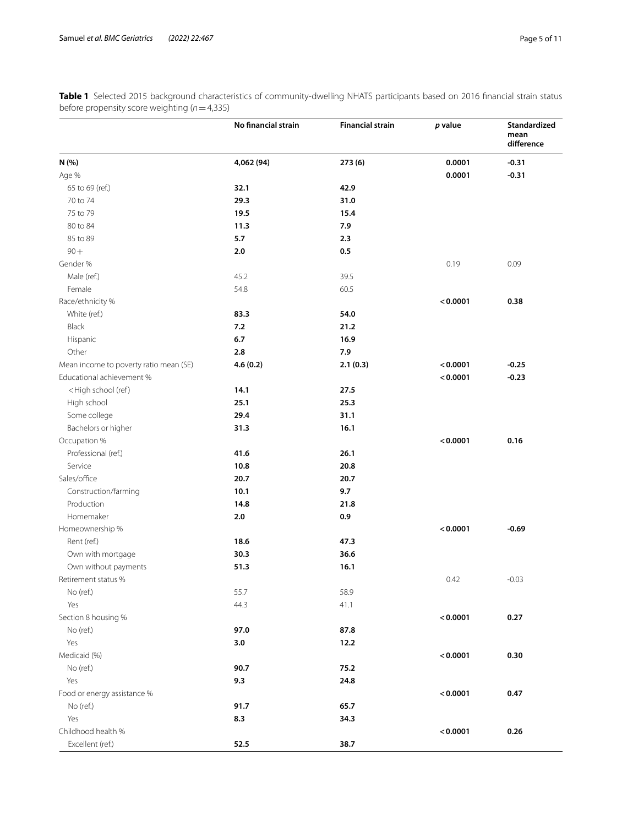|                                                                                     | No financial strain | <b>Financial strain</b> | p value  | Standardized<br>mean<br>difference |
|-------------------------------------------------------------------------------------|---------------------|-------------------------|----------|------------------------------------|
| N (%)                                                                               | 4,062 (94)          | 273 (6)                 | 0.0001   | $-0.31$                            |
| Age %                                                                               |                     |                         | 0.0001   | $-0.31$                            |
| 65 to 69 (ref.)                                                                     | 32.1                | 42.9                    |          |                                    |
| 70 to 74                                                                            | 29.3                | 31.0                    |          |                                    |
| 75 to 79                                                                            | 19.5                | 15.4                    |          |                                    |
| 80 to 84                                                                            | 11.3                | 7.9                     |          |                                    |
| 85 to 89                                                                            | 5.7                 | 2.3                     |          |                                    |
| $90 +$                                                                              | 2.0                 | 0.5                     |          |                                    |
| Gender %                                                                            |                     |                         | 0.19     | 0.09                               |
| Male (ref.)                                                                         | 45.2                | 39.5                    |          |                                    |
| Female                                                                              | 54.8                | 60.5                    |          |                                    |
| Race/ethnicity %                                                                    |                     |                         | < 0.0001 | 0.38                               |
| White (ref.)                                                                        | 83.3                | 54.0                    |          |                                    |
| Black                                                                               | 7.2                 | 21.2                    |          |                                    |
| Hispanic                                                                            | $6.7\,$             | 16.9                    |          |                                    |
| Other                                                                               | 2.8                 | 7.9                     |          |                                    |
| Mean income to poverty ratio mean (SE)                                              | 4.6(0.2)            | 2.1(0.3)                | < 0.0001 | $-0.25$                            |
| Educational achievement %                                                           |                     |                         | < 0.0001 | $-0.23$                            |
| <high (ref)<="" school="" td=""><td>14.1</td><td>27.5</td><td></td><td></td></high> | 14.1                | 27.5                    |          |                                    |
| High school                                                                         | 25.1                | 25.3                    |          |                                    |
| Some college                                                                        | 29.4                | 31.1                    |          |                                    |
| Bachelors or higher                                                                 | 31.3                | 16.1                    |          |                                    |
| Occupation %                                                                        |                     |                         | < 0.0001 | 0.16                               |
| Professional (ref.)                                                                 | 41.6                | 26.1                    |          |                                    |
| Service                                                                             | 10.8                | 20.8                    |          |                                    |
| Sales/office                                                                        | 20.7                | 20.7                    |          |                                    |
| Construction/farming                                                                | 10.1                | 9.7                     |          |                                    |
| Production                                                                          | 14.8                | 21.8                    |          |                                    |
| Homemaker                                                                           | 2.0                 | 0.9                     |          |                                    |
| Homeownership %                                                                     |                     |                         | < 0.0001 | $-0.69$                            |
| Rent (ref.)                                                                         | 18.6                | 47.3                    |          |                                    |
|                                                                                     |                     |                         |          |                                    |
| Own with mortgage                                                                   | 30.3                | 36.6                    |          |                                    |
| Own without payments                                                                | 51.3                | 16.1                    |          |                                    |
| Retirement status %                                                                 |                     |                         | 0.42     | $-0.03$                            |
| No (ref.)                                                                           | 55.7                | 58.9                    |          |                                    |
| Yes                                                                                 | 44.3                | 41.1                    |          |                                    |
| Section 8 housing %                                                                 |                     |                         | < 0.0001 | 0.27                               |
| No (ref.)                                                                           | 97.0                | 87.8                    |          |                                    |
| Yes                                                                                 | 3.0                 | 12.2                    |          |                                    |
| Medicaid (%)                                                                        |                     |                         | < 0.0001 | 0.30                               |
| No (ref.)                                                                           | 90.7                | 75.2                    |          |                                    |
| Yes                                                                                 | 9.3                 | 24.8                    |          |                                    |
| Food or energy assistance %                                                         |                     |                         | < 0.0001 | 0.47                               |
| No (ref.)                                                                           | 91.7                | 65.7                    |          |                                    |
| Yes                                                                                 | 8.3                 | 34.3                    |          |                                    |
| Childhood health %                                                                  |                     |                         | < 0.0001 | 0.26                               |
| Excellent (ref.)                                                                    | 52.5                | 38.7                    |          |                                    |

<span id="page-4-0"></span>**Table 1** Selected 2015 background characteristics of community-dwelling NHATS participants based on 2016 fnancial strain status before propensity score weighting (*n*=4,335)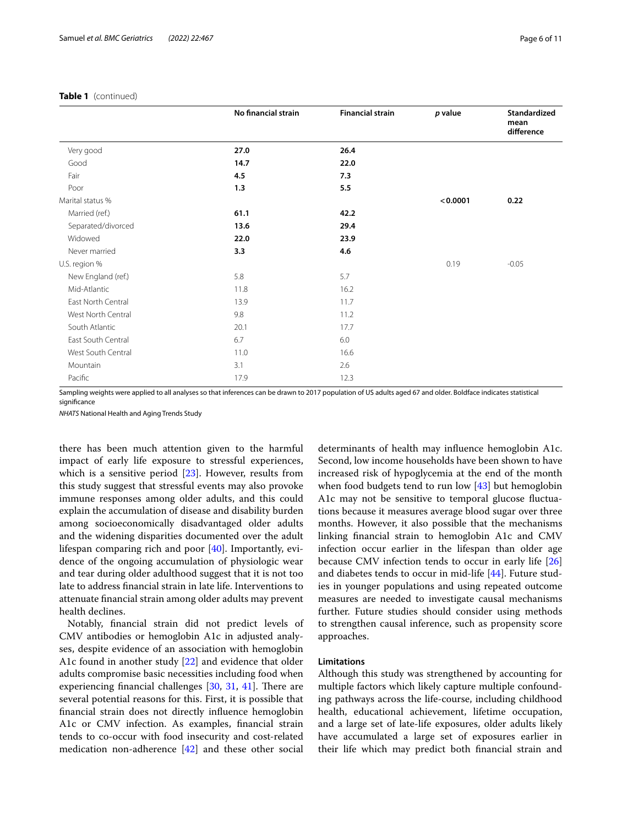|                    | No financial strain | <b>Financial strain</b> | p value  | Standardized<br>mean<br>difference |
|--------------------|---------------------|-------------------------|----------|------------------------------------|
| Very good          | 27.0                | 26.4                    |          |                                    |
| Good               | 14.7                | 22.0                    |          |                                    |
| Fair               | 4.5                 | 7.3                     |          |                                    |
| Poor               | 1.3                 | 5.5                     |          |                                    |
| Marital status %   |                     |                         | < 0.0001 | 0.22                               |
| Married (ref.)     | 61.1                | 42.2                    |          |                                    |
| Separated/divorced | 13.6                | 29.4                    |          |                                    |
| Widowed            | 22.0                | 23.9                    |          |                                    |
| Never married      | 3.3                 | 4.6                     |          |                                    |
| U.S. region %      |                     |                         | 0.19     | $-0.05$                            |
| New England (ref.) | 5.8                 | 5.7                     |          |                                    |
| Mid-Atlantic       | 11.8                | 16.2                    |          |                                    |
| East North Central | 13.9                | 11.7                    |          |                                    |
| West North Central | 9.8                 | 11.2                    |          |                                    |
| South Atlantic     | 20.1                | 17.7                    |          |                                    |
| East South Central | 6.7                 | 6.0                     |          |                                    |
| West South Central | 11.0                | 16.6                    |          |                                    |
| Mountain           | 3.1                 | 2.6                     |          |                                    |
| Pacific            | 17.9                | 12.3                    |          |                                    |

## **Table 1** (continued)

Sampling weights were applied to all analyses so that inferences can be drawn to 2017 population of US adults aged 67 and older. Boldface indicates statistical significance

*NHATS* National Health and Aging Trends Study

there has been much attention given to the harmful impact of early life exposure to stressful experiences, which is a sensitive period [[23](#page-9-18)]. However, results from this study suggest that stressful events may also provoke immune responses among older adults, and this could explain the accumulation of disease and disability burden among socioeconomically disadvantaged older adults and the widening disparities documented over the adult lifespan comparing rich and poor [\[40](#page-10-12)]. Importantly, evidence of the ongoing accumulation of physiologic wear and tear during older adulthood suggest that it is not too late to address fnancial strain in late life. Interventions to attenuate fnancial strain among older adults may prevent health declines.

Notably, fnancial strain did not predict levels of CMV antibodies or hemoglobin A1c in adjusted analyses, despite evidence of an association with hemoglobin A1c found in another study [\[22\]](#page-9-17) and evidence that older adults compromise basic necessities including food when experiencing financial challenges  $[30, 31, 41]$  $[30, 31, 41]$  $[30, 31, 41]$  $[30, 31, 41]$  $[30, 31, 41]$  $[30, 31, 41]$ . There are several potential reasons for this. First, it is possible that fnancial strain does not directly infuence hemoglobin A1c or CMV infection. As examples, fnancial strain tends to co-occur with food insecurity and cost-related medication non-adherence [[42\]](#page-10-14) and these other social determinants of health may infuence hemoglobin A1c. Second, low income households have been shown to have increased risk of hypoglycemia at the end of the month when food budgets tend to run low [\[43\]](#page-10-15) but hemoglobin A1c may not be sensitive to temporal glucose fuctuations because it measures average blood sugar over three months. However, it also possible that the mechanisms linking fnancial strain to hemoglobin A1c and CMV infection occur earlier in the lifespan than older age because CMV infection tends to occur in early life [[26](#page-9-21)] and diabetes tends to occur in mid-life [[44\]](#page-10-16). Future studies in younger populations and using repeated outcome measures are needed to investigate causal mechanisms further. Future studies should consider using methods to strengthen causal inference, such as propensity score approaches.

## **Limitations**

Although this study was strengthened by accounting for multiple factors which likely capture multiple confounding pathways across the life-course, including childhood health, educational achievement, lifetime occupation, and a large set of late-life exposures, older adults likely have accumulated a large set of exposures earlier in their life which may predict both fnancial strain and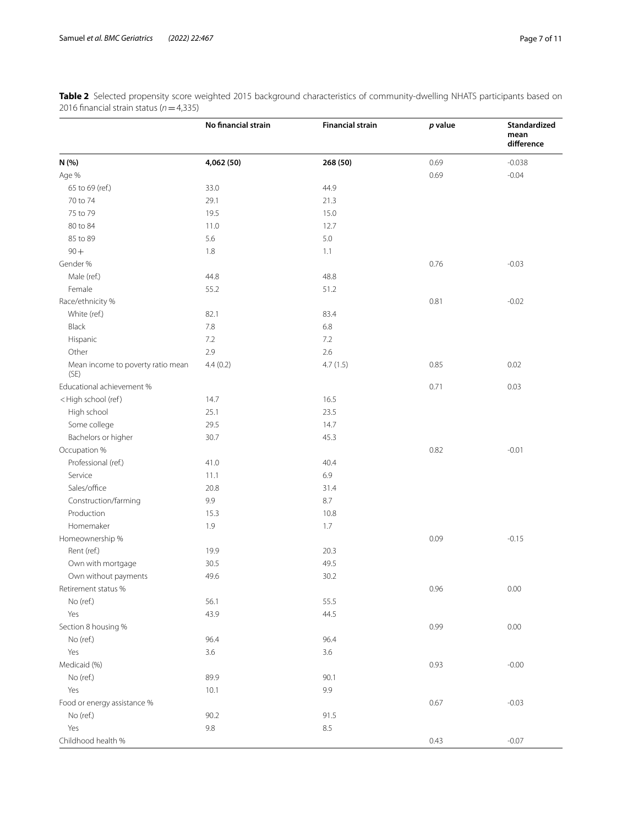|                                                                                     | No financial strain | <b>Financial strain</b> | p value | Standardized<br>mean<br>difference |
|-------------------------------------------------------------------------------------|---------------------|-------------------------|---------|------------------------------------|
| N (%)                                                                               | 4,062 (50)          | 268 (50)                | 0.69    | $-0.038$                           |
| Age %                                                                               |                     |                         | 0.69    | $-0.04$                            |
| 65 to 69 (ref.)                                                                     | 33.0                | 44.9                    |         |                                    |
| 70 to 74                                                                            | 29.1                | 21.3                    |         |                                    |
| 75 to 79                                                                            | 19.5                | 15.0                    |         |                                    |
| 80 to 84                                                                            | 11.0                | 12.7                    |         |                                    |
| 85 to 89                                                                            | 5.6                 | 5.0                     |         |                                    |
| $90 +$                                                                              | 1.8                 | 1.1                     |         |                                    |
| Gender %                                                                            |                     |                         | 0.76    | $-0.03$                            |
| Male (ref.)                                                                         | 44.8                | 48.8                    |         |                                    |
| Female                                                                              | 55.2                | 51.2                    |         |                                    |
| Race/ethnicity %                                                                    |                     |                         | 0.81    | $-0.02$                            |
| White (ref.)                                                                        | 82.1                | 83.4                    |         |                                    |
| Black                                                                               | 7.8                 | 6.8                     |         |                                    |
| Hispanic                                                                            | 7.2                 | 7.2                     |         |                                    |
| Other                                                                               | 2.9                 | 2.6                     |         |                                    |
| Mean income to poverty ratio mean<br>(SE)                                           | 4.4(0.2)            | 4.7(1.5)                | 0.85    | 0.02                               |
| Educational achievement %                                                           |                     |                         | 0.71    | 0.03                               |
| <high (ref)<="" school="" td=""><td>14.7</td><td>16.5</td><td></td><td></td></high> | 14.7                | 16.5                    |         |                                    |
| High school                                                                         | 25.1                | 23.5                    |         |                                    |
| Some college                                                                        | 29.5                | 14.7                    |         |                                    |
| Bachelors or higher                                                                 | 30.7                | 45.3                    |         |                                    |
| Occupation %                                                                        |                     |                         | 0.82    | $-0.01$                            |
| Professional (ref.)                                                                 | 41.0                | 40.4                    |         |                                    |
| Service                                                                             | 11.1                | 6.9                     |         |                                    |
| Sales/office                                                                        | 20.8                | 31.4                    |         |                                    |
| Construction/farming                                                                | 9.9                 | 8.7                     |         |                                    |
| Production                                                                          | 15.3                | 10.8                    |         |                                    |
| Homemaker                                                                           | 1.9                 | 1.7                     |         |                                    |
| Homeownership %                                                                     |                     |                         | 0.09    | $-0.15$                            |
| Rent (ref.)                                                                         | 19.9                | 20.3                    |         |                                    |
| Own with mortgage                                                                   | 30.5                | 49.5                    |         |                                    |
| Own without payments                                                                | 49.6                | 30.2                    |         |                                    |
| Retirement status %                                                                 |                     |                         | 0.96    | 0.00                               |
| No (ref.)                                                                           | 56.1                | 55.5                    |         |                                    |
| Yes                                                                                 | 43.9                | 44.5                    |         |                                    |
| Section 8 housing %                                                                 |                     |                         | 0.99    | 0.00                               |
| No (ref.)                                                                           | 96.4                | 96.4                    |         |                                    |
| Yes                                                                                 | 3.6                 | 3.6                     |         |                                    |
| Medicaid (%)                                                                        |                     |                         | 0.93    | $-0.00$                            |
| No (ref.)                                                                           | 89.9                | 90.1                    |         |                                    |
| Yes                                                                                 | 10.1                | 9.9                     |         |                                    |
| Food or energy assistance %                                                         |                     |                         | 0.67    | $-0.03$                            |
| No (ref.)                                                                           | 90.2                | 91.5                    |         |                                    |
| Yes                                                                                 | 9.8                 | 8.5                     |         |                                    |
| Childhood health %                                                                  |                     |                         | 0.43    | $-0.07$                            |

<span id="page-6-0"></span>**Table 2** Selected propensity score weighted 2015 background characteristics of community-dwelling NHATS participants based on 2016 fnancial strain status (*n*=4,335)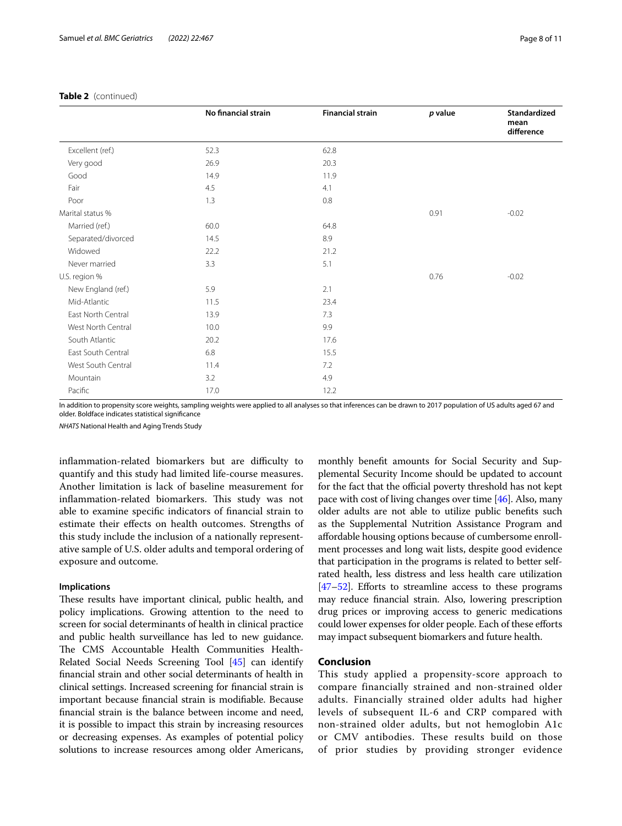|                    | No financial strain | <b>Financial strain</b> | $p$ value | <b>Standardized</b><br>mean<br>difference |
|--------------------|---------------------|-------------------------|-----------|-------------------------------------------|
| Excellent (ref.)   | 52.3                | 62.8                    |           |                                           |
| Very good          | 26.9                | 20.3                    |           |                                           |
| Good               | 14.9                | 11.9                    |           |                                           |
| Fair               | 4.5                 | 4.1                     |           |                                           |
| Poor               | 1.3                 | 0.8                     |           |                                           |
| Marital status %   |                     |                         | 0.91      | $-0.02$                                   |
| Married (ref.)     | 60.0                | 64.8                    |           |                                           |
| Separated/divorced | 14.5                | 8.9                     |           |                                           |
| Widowed            | 22.2                | 21.2                    |           |                                           |
| Never married      | 3.3                 | 5.1                     |           |                                           |
| U.S. region %      |                     |                         | 0.76      | $-0.02$                                   |
| New England (ref.) | 5.9                 | 2.1                     |           |                                           |
| Mid-Atlantic       | 11.5                | 23.4                    |           |                                           |
| East North Central | 13.9                | 7.3                     |           |                                           |
| West North Central | 10.0                | 9.9                     |           |                                           |
| South Atlantic     | 20.2                | 17.6                    |           |                                           |
| East South Central | 6.8                 | 15.5                    |           |                                           |
| West South Central | 11.4                | 7.2                     |           |                                           |
| Mountain           | 3.2                 | 4.9                     |           |                                           |
| Pacific            | 17.0                | 12.2                    |           |                                           |

## **Table 2** (continued)

In addition to propensity score weights, sampling weights were applied to all analyses so that inferences can be drawn to 2017 population of US adults aged 67 and older. Boldface indicates statistical signifcance

*NHATS* National Health and Aging Trends Study

inflammation-related biomarkers but are difficulty to quantify and this study had limited life-course measures. Another limitation is lack of baseline measurement for inflammation-related biomarkers. This study was not able to examine specifc indicators of fnancial strain to estimate their efects on health outcomes. Strengths of this study include the inclusion of a nationally representative sample of U.S. older adults and temporal ordering of exposure and outcome.

### **Implications**

These results have important clinical, public health, and policy implications. Growing attention to the need to screen for social determinants of health in clinical practice and public health surveillance has led to new guidance. The CMS Accountable Health Communities Health-Related Social Needs Screening Tool [[45](#page-10-17)] can identify fnancial strain and other social determinants of health in clinical settings. Increased screening for fnancial strain is important because fnancial strain is modifable. Because fnancial strain is the balance between income and need, it is possible to impact this strain by increasing resources or decreasing expenses. As examples of potential policy solutions to increase resources among older Americans,

monthly beneft amounts for Social Security and Supplemental Security Income should be updated to account for the fact that the official poverty threshold has not kept pace with cost of living changes over time [\[46](#page-10-18)]. Also, many older adults are not able to utilize public benefts such as the Supplemental Nutrition Assistance Program and afordable housing options because of cumbersome enrollment processes and long wait lists, despite good evidence that participation in the programs is related to better selfrated health, less distress and less health care utilization [[47](#page-10-19)[–52\]](#page-10-20). Efforts to streamline access to these programs may reduce fnancial strain. Also, lowering prescription drug prices or improving access to generic medications could lower expenses for older people. Each of these eforts may impact subsequent biomarkers and future health.

## **Conclusion**

This study applied a propensity-score approach to compare financially strained and non-strained older adults. Financially strained older adults had higher levels of subsequent IL-6 and CRP compared with non-strained older adults, but not hemoglobin A1c or CMV antibodies. These results build on those of prior studies by providing stronger evidence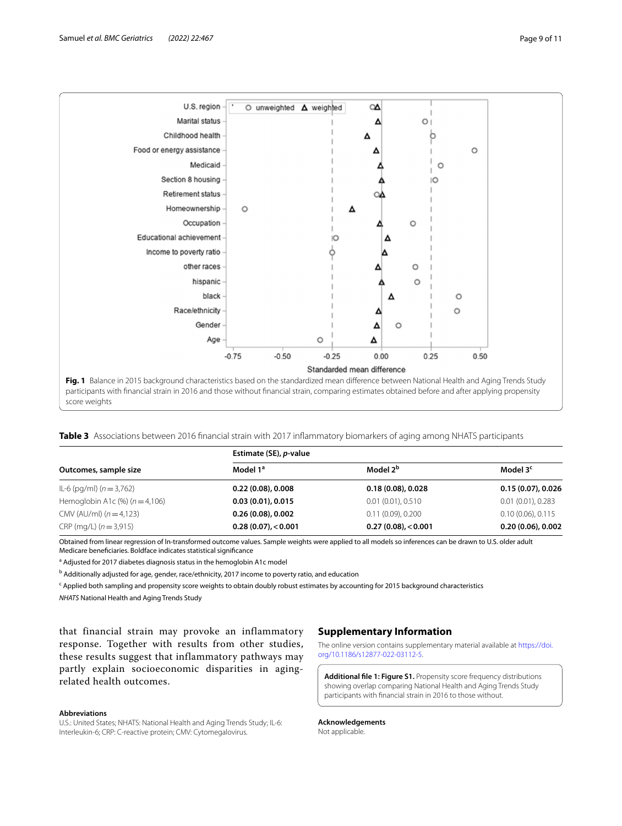

<span id="page-8-2"></span><span id="page-8-0"></span>**Table 3** Associations between 2016 fnancial strain with 2017 infammatory biomarkers of aging among NHATS participants

| Outcomes, sample size                 | Estimate (SE), p-value |                      |                        |  |
|---------------------------------------|------------------------|----------------------|------------------------|--|
|                                       | Model 1 <sup>a</sup>   | Model 2 <sup>b</sup> | Model 3 <sup>c</sup>   |  |
| IL-6 (pg/ml) ( $n = 3,762$ )          | 0.22(0.08), 0.008      | 0.18(0.08), 0.028    | $0.15(0.07)$ , 0.026   |  |
| Hemoglobin A1c $(\%)$ ( $n = 4,106$ ) | 0.03(0.01), 0.015      | 0.01(0.01), 0.510    | $0.01(0.01)$ , 0.283   |  |
| CMV (AU/ml) $(n=4,123)$               | 0.26(0.08), 0.002      | $0.11(0.09)$ , 0.200 | $0.10(0.06)$ , $0.115$ |  |
| $CRP$ (mg/L) ( $n = 3.915$ )          | $0.28(0.07)$ , < 0.001 | 0.27(0.08) < 0.001   | $0.20(0.06)$ , $0.002$ |  |

Obtained from linear regression of ln-transformed outcome values. Sample weights were applied to all models so inferences can be drawn to U.S. older adult Medicare benefciaries. Boldface indicates statistical signifcance

<sup>a</sup> Adjusted for 2017 diabetes diagnosis status in the hemoglobin A1c model

<sup>b</sup> Additionally adjusted for age, gender, race/ethnicity, 2017 income to poverty ratio, and education

<sup>c</sup> Applied both sampling and propensity score weights to obtain doubly robust estimates by accounting for 2015 background characteristics *NHATS* National Health and Aging Trends Study

that financial strain may provoke an inflammatory response. Together with results from other studies, these results suggest that inflammatory pathways may partly explain socioeconomic disparities in agingrelated health outcomes.

## **Abbreviations**

U.S.: United States; NHATS: National Health and Aging Trends Study; IL-6: Interleukin-6; CRP: C-reactive protein; CMV: Cytomegalovirus.

## **Supplementary Information**

The online version contains supplementary material available at [https://doi.](https://doi.org/10.1186/s12877-022-03112-5) [org/10.1186/s12877-022-03112-5](https://doi.org/10.1186/s12877-022-03112-5).

<span id="page-8-1"></span>**Additional fle 1: Figure S1.** Propensity score frequency distributions showing overlap comparing National Health and Aging Trends Study participants with fnancial strain in 2016 to those without.

**Acknowledgements** Not applicable.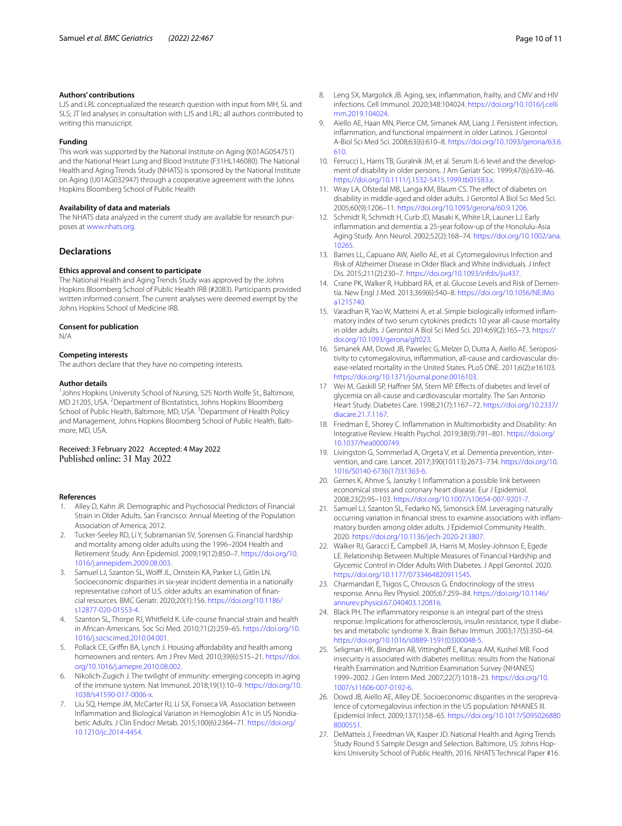#### **Authors' contributions**

LJS and LRL conceptualized the research question with input from MH, SL and SLS; JT led analyses in consultation with LJS and LRL; all authors contributed to writing this manuscript.

#### **Funding**

This work was supported by the National Institute on Aging (K01AG054751) and the National Heart Lung and Blood Institute (F31HL146080). The National Health and Aging Trends Study (NHATS) is sponsored by the National Institute on Aging (U01AG032947) through a cooperative agreement with the Johns Hopkins Bloomberg School of Public Health

#### **Availability of data and materials**

The NHATS data analyzed in the current study are available for research purposes at [www.nhats.org](http://www.nhats.org).

## **Declarations**

#### **Ethics approval and consent to participate**

The National Health and Aging Trends Study was approved by the Johns Hopkins Bloomberg School of Public Health IRB (#2083). Participants provided written informed consent. The current analyses were deemed exempt by the Johns Hopkins School of Medicine IRB.

#### **Consent for publication**

N/A

#### **Competing interests**

The authors declare that they have no competing interests.

#### **Author details**

<sup>1</sup> Johns Hopkins University School of Nursing, 525 North Wolfe St., Baltimore, MD 21205, USA. <sup>2</sup> Department of Biostatistics, Johns Hopkins Bloomberg School of Public Health, Baltimore, MD, USA. <sup>3</sup> Department of Health Policy and Management, Johns Hopkins Bloomberg School of Public Health, Baltimore, MD, USA.

## Received: 3 February 2022 Accepted: 4 May 2022 Published online: 31 May 2022

#### **References**

- <span id="page-9-0"></span>1. Alley D, Kahn JR. Demographic and Psychosocial Predictors of Financial Strain in Older Adults. San Francisco: Annual Meeting of the Population Association of America; 2012.
- <span id="page-9-1"></span>2. Tucker-Seeley RD, Li Y, Subramanian SV, Sorensen G. Financial hardship and mortality among older adults using the 1996–2004 Health and Retirement Study. Ann Epidemiol. 2009;19(12):850–7. [https://doi.org/10.](https://doi.org/10.1016/j.annepidem.2009.08.003) [1016/j.annepidem.2009.08.003](https://doi.org/10.1016/j.annepidem.2009.08.003).
- 3. Samuel LJ, Szanton SL, Wolff JL, Ornstein KA, Parker LJ, Gitlin LN. Socioeconomic disparities in six-year incident dementia in a nationally representative cohort of U.S. older adults: an examination of fnancial resources. BMC Geriatr. 2020;20(1):156. [https://doi.org/10.1186/](https://doi.org/10.1186/s12877-020-01553-4) [s12877-020-01553-4](https://doi.org/10.1186/s12877-020-01553-4).
- <span id="page-9-2"></span>4. Szanton SL, Thorpe RJ, Whitfeld K. Life-course fnancial strain and health in African-Americans. Soc Sci Med. 2010;71(2):259–65. [https://doi.org/10.](https://doi.org/10.1016/j.socscimed.2010.04.001) [1016/j.socscimed.2010.04.001](https://doi.org/10.1016/j.socscimed.2010.04.001).
- <span id="page-9-3"></span>5. Pollack CE, Griffin BA, Lynch J. Housing affordability and health among homeowners and renters. Am J Prev Med. 2010;39(6):515–21. [https://doi.](https://doi.org/10.1016/j.amepre.2010.08.002) [org/10.1016/j.amepre.2010.08.002](https://doi.org/10.1016/j.amepre.2010.08.002).
- <span id="page-9-4"></span>6. Nikolich-Zugich J. The twilight of immunity: emerging concepts in aging of the immune system. Nat Immunol. 2018;19(1):10–9. [https://doi.org/10.](https://doi.org/10.1038/s41590-017-0006-x) [1038/s41590-017-0006-x.](https://doi.org/10.1038/s41590-017-0006-x)
- <span id="page-9-5"></span>7. Liu SQ, Hempe JM, McCarter RJ, Li SX, Fonseca VA. Association between Infammation and Biological Variation in Hemoglobin A1c in US Nondiabetic Adults. J Clin Endocr Metab. 2015;100(6):2364–71. [https://doi.org/](https://doi.org/10.1210/jc.2014-4454) [10.1210/jc.2014-4454](https://doi.org/10.1210/jc.2014-4454).
- <span id="page-9-6"></span>8. Leng SX, Margolick JB. Aging, sex, infammation, frailty, and CMV and HIV infections. Cell Immunol. 2020;348:104024. [https://doi.org/10.1016/j.celli](https://doi.org/10.1016/j.cellimm.2019.104024) [mm.2019.104024](https://doi.org/10.1016/j.cellimm.2019.104024)
- <span id="page-9-7"></span>9. Aiello AE, Haan MN, Pierce CM, Simanek AM, Liang J. Persistent infection, infammation, and functional impairment in older Latinos. J Gerontol A-Biol Sci Med Sci. 2008;63(6):610–8. [https://doi.org/10.1093/gerona/63.6.](https://doi.org/10.1093/gerona/63.6.610) [610.](https://doi.org/10.1093/gerona/63.6.610)
- 10. Ferrucci L, Harris TB, Guralnik JM, et al. Serum IL-6 level and the development of disability in older persons. J Am Geriatr Soc. 1999;47(6):639–46. <https://doi.org/10.1111/j.1532-5415.1999.tb01583.x>.
- <span id="page-9-8"></span>11. Wray LA, Ofstedal MB, Langa KM, Blaum CS. The effect of diabetes on disability in middle-aged and older adults. J Gerontol A Biol Sci Med Sci. 2005;60(9):1206–11. [https://doi.org/10.1093/gerona/60.9.1206.](https://doi.org/10.1093/gerona/60.9.1206)
- <span id="page-9-9"></span>12. Schmidt R, Schmidt H, Curb JD, Masaki K, White LR, Launer LJ. Early infammation and dementia: a 25-year follow-up of the Honolulu-Asia Aging Study. Ann Neurol. 2002;52(2):168–74. [https://doi.org/10.1002/ana.](https://doi.org/10.1002/ana.10265) [10265](https://doi.org/10.1002/ana.10265).
- 13. Barnes LL, Capuano AW, Aiello AE, et al. Cytomegalovirus Infection and Risk of Alzheimer Disease in Older Black and White Individuals. J Infect Dis. 2015;211(2):230–7. [https://doi.org/10.1093/infdis/jiu437.](https://doi.org/10.1093/infdis/jiu437)
- <span id="page-9-10"></span>14. Crane PK, Walker R, Hubbard RA, et al. Glucose Levels and Risk of Dementia. New Engl J Med. 2013;369(6):540–8. [https://doi.org/10.1056/NEJMo](https://doi.org/10.1056/NEJMoa1215740) [a1215740.](https://doi.org/10.1056/NEJMoa1215740)
- <span id="page-9-11"></span>15. Varadhan R, Yao W, Matteini A, et al. Simple biologically informed infammatory index of two serum cytokines predicts 10 year all-cause mortality in older adults. J Gerontol A Biol Sci Med Sci. 2014;69(2):165–73. [https://](https://doi.org/10.1093/gerona/glt023) [doi.org/10.1093/gerona/glt023](https://doi.org/10.1093/gerona/glt023).
- 16. Simanek AM, Dowd JB, Pawelec G, Melzer D, Dutta A, Aiello AE. Seropositivity to cytomegalovirus, infammation, all-cause and cardiovascular disease-related mortality in the United States. PLoS ONE. 2011;6(2):e16103. <https://doi.org/10.1371/journal.pone.0016103>.
- <span id="page-9-12"></span>17 Wei M, Gaskill SP, Haffner SM, Stern MP. Effects of diabetes and level of glycemia on all-cause and cardiovascular mortality. The San Antonio Heart Study. Diabetes Care. 1998;21(7):1167–72. [https://doi.org/10.2337/](https://doi.org/10.2337/diacare.21.7.1167) [diacare.21.7.1167.](https://doi.org/10.2337/diacare.21.7.1167)
- <span id="page-9-13"></span>18. Friedman E, Shorey C. Infammation in Multimorbidity and Disability: An Integrative Review. Health Psychol. 2019;38(9):791–801. [https://doi.org/](https://doi.org/10.1037/hea0000749) [10.1037/hea0000749](https://doi.org/10.1037/hea0000749).
- <span id="page-9-14"></span>19. Livingston G, Sommerlad A, Orgeta V, et al. Dementia prevention, intervention, and care. Lancet. 2017;390(10113):2673–734. [https://doi.org/10.](https://doi.org/10.1016/S0140-6736(17)31363-6) [1016/S0140-6736\(17\)31363-6](https://doi.org/10.1016/S0140-6736(17)31363-6).
- <span id="page-9-15"></span>20. Gemes K, Ahnve S, Janszky I. Infammation a possible link between economical stress and coronary heart disease. Eur J Epidemiol. 2008;23(2):95–103. [https://doi.org/10.1007/s10654-007-9201-7.](https://doi.org/10.1007/s10654-007-9201-7)
- <span id="page-9-16"></span>21. Samuel LJ, Szanton SL, Fedarko NS, Simonsick EM. Leveraging naturally occurring variation in fnancial stress to examine associations with infammatory burden among older adults. J Epidemiol Community Health. 2020. [https://doi.org/10.1136/jech-2020-213807.](https://doi.org/10.1136/jech-2020-213807)
- <span id="page-9-17"></span>22. Walker RJ, Garacci E, Campbell JA, Harris M, Mosley-Johnson E, Egede LE. Relationship Between Multiple Measures of Financial Hardship and Glycemic Control in Older Adults With Diabetes. J Appl Gerontol. 2020. <https://doi.org/10.1177/0733464820911545>.
- <span id="page-9-18"></span>23. Charmandari E, Tsigos C, Chrousos G. Endocrinology of the stress response. Annu Rev Physiol. 2005;67:259–84. [https://doi.org/10.1146/](https://doi.org/10.1146/annurev.physiol.67.040403.120816) [annurev.physiol.67.040403.120816.](https://doi.org/10.1146/annurev.physiol.67.040403.120816)
- <span id="page-9-19"></span>24. Black PH. The infammatory response is an integral part of the stress response: Implications for atherosclerosis, insulin resistance, type II diabetes and metabolic syndrome X. Brain Behav Immun. 2003;17(5):350–64. [https://doi.org/10.1016/s0889-1591\(03\)00048-5](https://doi.org/10.1016/s0889-1591(03)00048-5).
- <span id="page-9-20"></span>25. Seligman HK, Bindman AB, Vittinghoff E, Kanaya AM, Kushel MB. Food insecurity is associated with diabetes mellitus: results from the National Health Examination and Nutrition Examination Survey (NHANES) 1999–2002. J Gen Intern Med. 2007;22(7):1018–23. [https://doi.org/10.](https://doi.org/10.1007/s11606-007-0192-6) [1007/s11606-007-0192-6](https://doi.org/10.1007/s11606-007-0192-6).
- <span id="page-9-21"></span>26. Dowd JB, Aiello AE, Alley DE. Socioeconomic disparities in the seroprevalence of cytomegalovirus infection in the US population: NHANES III. Epidemiol Infect. 2009;137(1):58–65. [https://doi.org/10.1017/S095026880](https://doi.org/10.1017/S0950268808000551) [8000551](https://doi.org/10.1017/S0950268808000551).
- <span id="page-9-22"></span>27. DeMatteis J, Freedman VA, Kasper JD. National Health and Aging Trends Study Round 5 Sample Design and Selection. Baltimore, US: Johns Hopkins University School of Public Health, 2016. NHATS Technical Paper #16.